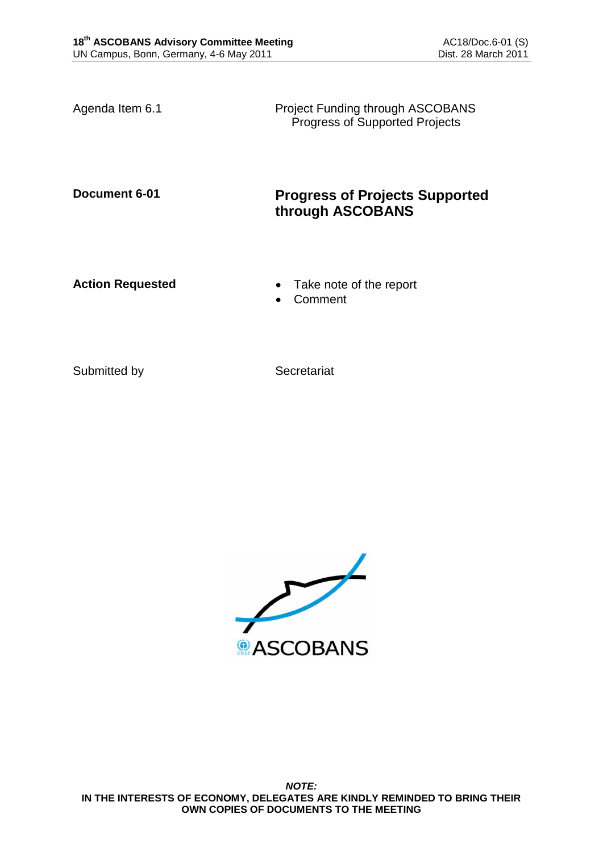Agenda Item 6.1 **Project Funding through ASCOBANS** Progress of Supported Projects

# **Document 6-01 Progress of Projects Supported through ASCOBANS**

**Action Requested • Take note of the report** 

Comment

Submitted by Secretariat

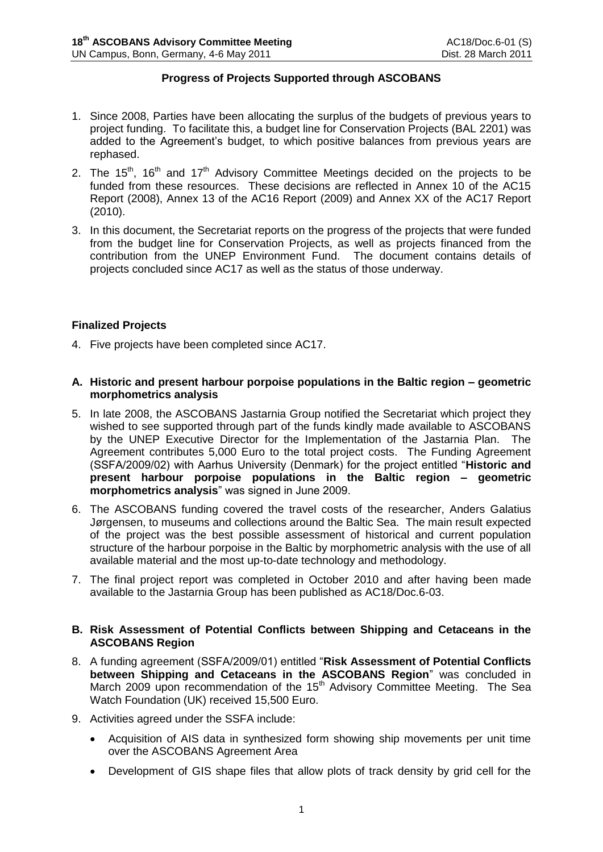## **Progress of Projects Supported through ASCOBANS**

- 1. Since 2008, Parties have been allocating the surplus of the budgets of previous years to project funding. To facilitate this, a budget line for Conservation Projects (BAL 2201) was added to the Agreement's budget, to which positive balances from previous years are rephased.
- 2. The 15<sup>th</sup>, 16<sup>th</sup> and 17<sup>th</sup> Advisory Committee Meetings decided on the projects to be funded from these resources. These decisions are reflected in Annex 10 of the AC15 Report (2008), Annex 13 of the AC16 Report (2009) and Annex XX of the AC17 Report (2010).
- 3. In this document, the Secretariat reports on the progress of the projects that were funded from the budget line for Conservation Projects, as well as projects financed from the contribution from the UNEP Environment Fund. The document contains details of projects concluded since AC17 as well as the status of those underway.

## **Finalized Projects**

- 4. Five projects have been completed since AC17.
- **A. Historic and present harbour porpoise populations in the Baltic region – geometric morphometrics analysis**
- 5. In late 2008, the ASCOBANS Jastarnia Group notified the Secretariat which project they wished to see supported through part of the funds kindly made available to ASCOBANS by the UNEP Executive Director for the Implementation of the Jastarnia Plan. The Agreement contributes 5,000 Euro to the total project costs. The Funding Agreement (SSFA/2009/02) with Aarhus University (Denmark) for the project entitled "**Historic and present harbour porpoise populations in the Baltic region – geometric morphometrics analysis**" was signed in June 2009.
- 6. The ASCOBANS funding covered the travel costs of the researcher, Anders Galatius Jørgensen, to museums and collections around the Baltic Sea. The main result expected of the project was the best possible assessment of historical and current population structure of the harbour porpoise in the Baltic by morphometric analysis with the use of all available material and the most up-to-date technology and methodology.
- 7. The final project report was completed in October 2010 and after having been made available to the Jastarnia Group has been published as AC18/Doc.6-03.

## **B. Risk Assessment of Potential Conflicts between Shipping and Cetaceans in the ASCOBANS Region**

- 8. A funding agreement (SSFA/2009/01) entitled "**Risk Assessment of Potential Conflicts between Shipping and Cetaceans in the ASCOBANS Region**" was concluded in March 2009 upon recommendation of the 15th Advisory Committee Meeting. The Sea Watch Foundation (UK) received 15,500 Euro.
- 9. Activities agreed under the SSFA include:
	- Acquisition of AIS data in synthesized form showing ship movements per unit time over the ASCOBANS Agreement Area
	- Development of GIS shape files that allow plots of track density by grid cell for the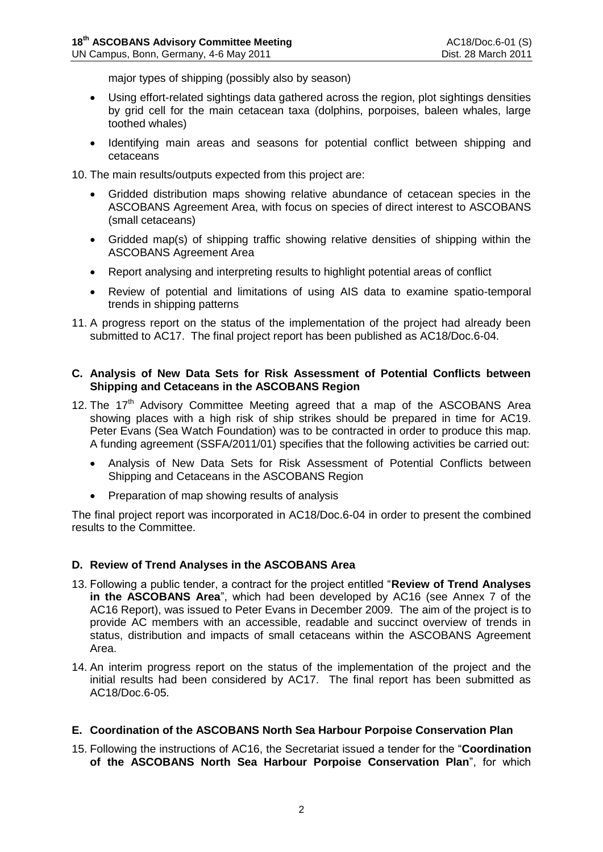major types of shipping (possibly also by season)

- Using effort-related sightings data gathered across the region, plot sightings densities by grid cell for the main cetacean taxa (dolphins, porpoises, baleen whales, large toothed whales)
- Identifying main areas and seasons for potential conflict between shipping and cetaceans

10. The main results/outputs expected from this project are:

- Gridded distribution maps showing relative abundance of cetacean species in the ASCOBANS Agreement Area, with focus on species of direct interest to ASCOBANS (small cetaceans)
- Gridded map(s) of shipping traffic showing relative densities of shipping within the ASCOBANS Agreement Area
- Report analysing and interpreting results to highlight potential areas of conflict
- Review of potential and limitations of using AIS data to examine spatio-temporal trends in shipping patterns
- 11. A progress report on the status of the implementation of the project had already been submitted to AC17. The final project report has been published as AC18/Doc.6-04.

#### **C. Analysis of New Data Sets for Risk Assessment of Potential Conflicts between Shipping and Cetaceans in the ASCOBANS Region**

- 12. The  $17<sup>th</sup>$  Advisory Committee Meeting agreed that a map of the ASCOBANS Area showing places with a high risk of ship strikes should be prepared in time for AC19. Peter Evans (Sea Watch Foundation) was to be contracted in order to produce this map. A funding agreement (SSFA/2011/01) specifies that the following activities be carried out:
	- Analysis of New Data Sets for Risk Assessment of Potential Conflicts between Shipping and Cetaceans in the ASCOBANS Region
	- Preparation of map showing results of analysis

The final project report was incorporated in AC18/Doc.6-04 in order to present the combined results to the Committee.

## **D. Review of Trend Analyses in the ASCOBANS Area**

- 13. Following a public tender, a contract for the project entitled "**Review of Trend Analyses in the ASCOBANS Area**", which had been developed by AC16 (see Annex 7 of the AC16 Report), was issued to Peter Evans in December 2009. The aim of the project is to provide AC members with an accessible, readable and succinct overview of trends in status, distribution and impacts of small cetaceans within the ASCOBANS Agreement Area.
- 14. An interim progress report on the status of the implementation of the project and the initial results had been considered by AC17. The final report has been submitted as AC18/Doc.6-05.

#### **E. Coordination of the ASCOBANS North Sea Harbour Porpoise Conservation Plan**

15. Following the instructions of AC16, the Secretariat issued a tender for the "**Coordination of the ASCOBANS North Sea Harbour Porpoise Conservation Plan**", for which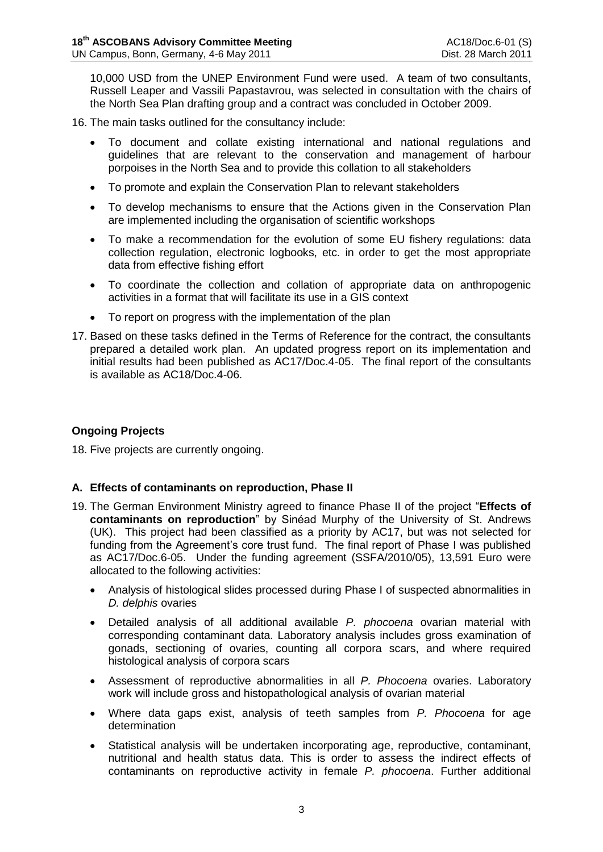10,000 USD from the UNEP Environment Fund were used. A team of two consultants, Russell Leaper and Vassili Papastavrou, was selected in consultation with the chairs of the North Sea Plan drafting group and a contract was concluded in October 2009.

- 16. The main tasks outlined for the consultancy include:
	- To document and collate existing international and national regulations and guidelines that are relevant to the conservation and management of harbour porpoises in the North Sea and to provide this collation to all stakeholders
	- To promote and explain the Conservation Plan to relevant stakeholders
	- To develop mechanisms to ensure that the Actions given in the Conservation Plan are implemented including the organisation of scientific workshops
	- To make a recommendation for the evolution of some EU fishery regulations: data collection regulation, electronic logbooks, etc. in order to get the most appropriate data from effective fishing effort
	- To coordinate the collection and collation of appropriate data on anthropogenic activities in a format that will facilitate its use in a GIS context
	- To report on progress with the implementation of the plan
- 17. Based on these tasks defined in the Terms of Reference for the contract, the consultants prepared a detailed work plan. An updated progress report on its implementation and initial results had been published as AC17/Doc.4-05. The final report of the consultants is available as AC18/Doc.4-06.

# **Ongoing Projects**

18. Five projects are currently ongoing.

## **A. Effects of contaminants on reproduction, Phase II**

- 19. The German Environment Ministry agreed to finance Phase II of the project "**Effects of contaminants on reproduction**" by Sinéad Murphy of the University of St. Andrews (UK). This project had been classified as a priority by AC17, but was not selected for funding from the Agreement's core trust fund. The final report of Phase I was published as AC17/Doc.6-05. Under the funding agreement (SSFA/2010/05), 13,591 Euro were allocated to the following activities:
	- Analysis of histological slides processed during Phase I of suspected abnormalities in *D. delphis* ovaries
	- Detailed analysis of all additional available *P. phocoena* ovarian material with corresponding contaminant data. Laboratory analysis includes gross examination of gonads, sectioning of ovaries, counting all corpora scars, and where required histological analysis of corpora scars
	- Assessment of reproductive abnormalities in all *P. Phocoena* ovaries. Laboratory work will include gross and histopathological analysis of ovarian material
	- Where data gaps exist, analysis of teeth samples from *P. Phocoena* for age determination
	- Statistical analysis will be undertaken incorporating age, reproductive, contaminant, nutritional and health status data. This is order to assess the indirect effects of contaminants on reproductive activity in female *P. phocoena*. Further additional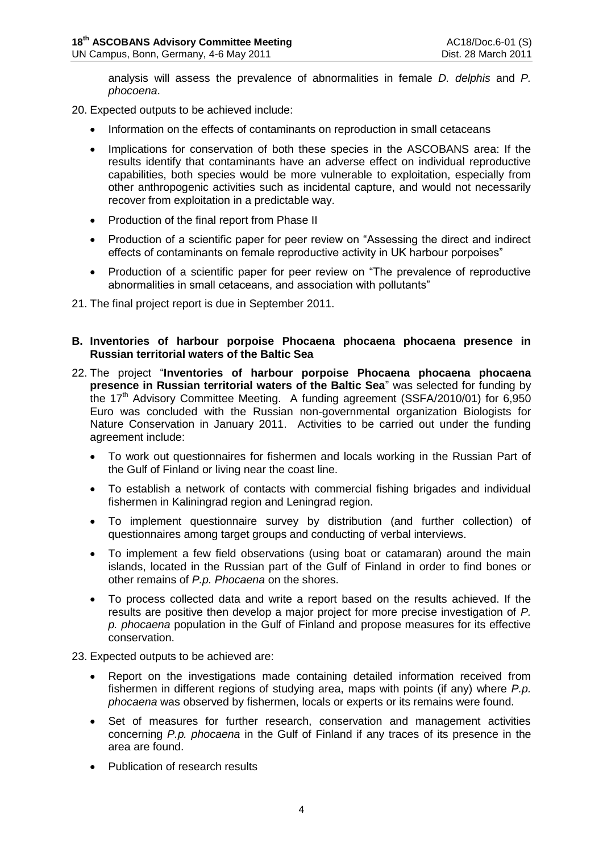analysis will assess the prevalence of abnormalities in female *D. delphis* and *P. phocoena*.

20. Expected outputs to be achieved include:

- Information on the effects of contaminants on reproduction in small cetaceans
- Implications for conservation of both these species in the ASCOBANS area: If the results identify that contaminants have an adverse effect on individual reproductive capabilities, both species would be more vulnerable to exploitation, especially from other anthropogenic activities such as incidental capture, and would not necessarily recover from exploitation in a predictable way.
- Production of the final report from Phase II
- Production of a scientific paper for peer review on "Assessing the direct and indirect effects of contaminants on female reproductive activity in UK harbour porpoises"
- Production of a scientific paper for peer review on "The prevalence of reproductive abnormalities in small cetaceans, and association with pollutants"
- 21. The final project report is due in September 2011.

## **B. Inventories of harbour porpoise Phocaena phocaena phocaena presence in Russian territorial waters of the Baltic Sea**

- 22. The project "**Inventories of harbour porpoise Phocaena phocaena phocaena presence in Russian territorial waters of the Baltic Sea**" was selected for funding by the 17<sup>th</sup> Advisory Committee Meeting. A funding agreement (SSFA/2010/01) for 6,950 Euro was concluded with the Russian non-governmental organization Biologists for Nature Conservation in January 2011. Activities to be carried out under the funding agreement include:
	- To work out questionnaires for fishermen and locals working in the Russian Part of the Gulf of Finland or living near the coast line.
	- To establish a network of contacts with commercial fishing brigades and individual fishermen in Kaliningrad region and Leningrad region.
	- To implement questionnaire survey by distribution (and further collection) of questionnaires among target groups and conducting of verbal interviews.
	- To implement a few field observations (using boat or catamaran) around the main islands, located in the Russian part of the Gulf of Finland in order to find bones or other remains of *P.p. Phocaena* on the shores.
	- To process collected data and write a report based on the results achieved. If the results are positive then develop a major project for more precise investigation of *P. p. phocaena* population in the Gulf of Finland and propose measures for its effective conservation.
- 23. Expected outputs to be achieved are:
	- Report on the investigations made containing detailed information received from fishermen in different regions of studying area, maps with points (if any) where *P.p. phocaena* was observed by fishermen, locals or experts or its remains were found.
	- Set of measures for further research, conservation and management activities concerning *P.p. phocaena* in the Gulf of Finland if any traces of its presence in the area are found.
	- Publication of research results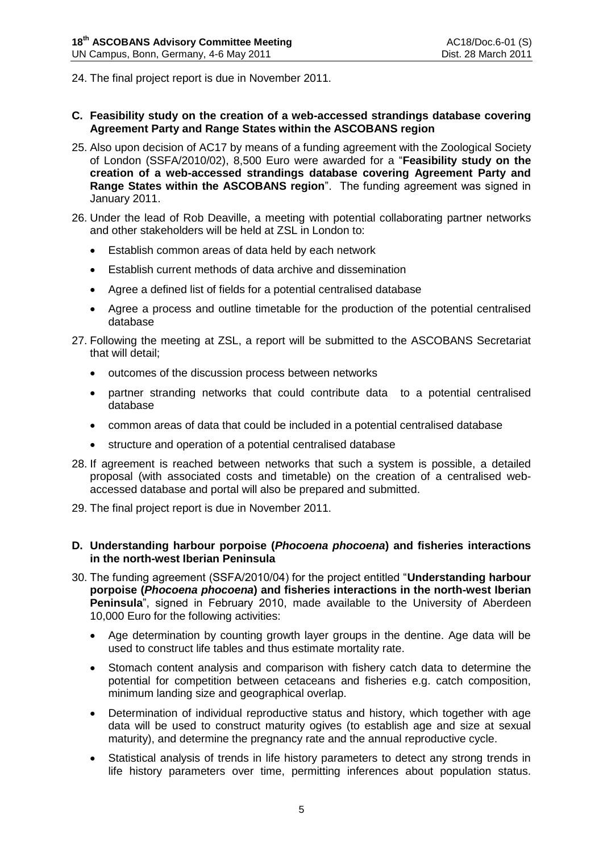24. The final project report is due in November 2011.

- **C. Feasibility study on the creation of a web-accessed strandings database covering Agreement Party and Range States within the ASCOBANS region**
- 25. Also upon decision of AC17 by means of a funding agreement with the Zoological Society of London (SSFA/2010/02), 8,500 Euro were awarded for a "**Feasibility study on the creation of a web-accessed strandings database covering Agreement Party and Range States within the ASCOBANS region**". The funding agreement was signed in January 2011.
- 26. Under the lead of Rob Deaville, a meeting with potential collaborating partner networks and other stakeholders will be held at ZSL in London to:
	- Establish common areas of data held by each network
	- Establish current methods of data archive and dissemination
	- Agree a defined list of fields for a potential centralised database
	- Agree a process and outline timetable for the production of the potential centralised database
- 27. Following the meeting at ZSL, a report will be submitted to the ASCOBANS Secretariat that will detail;
	- outcomes of the discussion process between networks
	- partner stranding networks that could contribute data to a potential centralised database
	- common areas of data that could be included in a potential centralised database
	- structure and operation of a potential centralised database
- 28. If agreement is reached between networks that such a system is possible, a detailed proposal (with associated costs and timetable) on the creation of a centralised webaccessed database and portal will also be prepared and submitted.
- 29. The final project report is due in November 2011.
- **D. Understanding harbour porpoise (***Phocoena phocoena***) and fisheries interactions in the north-west Iberian Peninsula**
- 30. The funding agreement (SSFA/2010/04) for the project entitled "**Understanding harbour porpoise (***Phocoena phocoena***) and fisheries interactions in the north-west Iberian Peninsula**", signed in February 2010, made available to the University of Aberdeen 10,000 Euro for the following activities:
	- Age determination by counting growth layer groups in the dentine. Age data will be used to construct life tables and thus estimate mortality rate.
	- Stomach content analysis and comparison with fishery catch data to determine the potential for competition between cetaceans and fisheries e.g. catch composition, minimum landing size and geographical overlap.
	- Determination of individual reproductive status and history, which together with age data will be used to construct maturity ogives (to establish age and size at sexual maturity), and determine the pregnancy rate and the annual reproductive cycle.
	- Statistical analysis of trends in life history parameters to detect any strong trends in life history parameters over time, permitting inferences about population status.